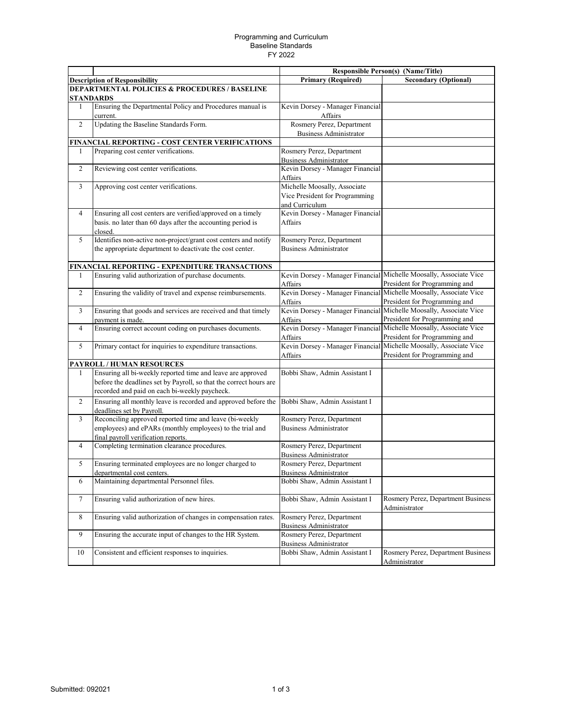## Programming and Curriculum Baseline Standards FY 2022

|                                                          |                                                                                                  | <b>Responsible Person(s) (Name/Title)</b>                      |                                                                                                     |  |  |  |
|----------------------------------------------------------|--------------------------------------------------------------------------------------------------|----------------------------------------------------------------|-----------------------------------------------------------------------------------------------------|--|--|--|
|                                                          | <b>Description of Responsibility</b>                                                             | <b>Primary (Required)</b>                                      | <b>Secondary (Optional)</b>                                                                         |  |  |  |
| <b>DEPARTMENTAL POLICIES &amp; PROCEDURES / BASELINE</b> |                                                                                                  |                                                                |                                                                                                     |  |  |  |
|                                                          | STANDARDS                                                                                        |                                                                |                                                                                                     |  |  |  |
| 1                                                        | Ensuring the Departmental Policy and Procedures manual is<br>current.                            | Kevin Dorsey - Manager Financial<br>Affairs                    |                                                                                                     |  |  |  |
| $\overline{2}$                                           | Updating the Baseline Standards Form.                                                            | Rosmery Perez, Department                                      |                                                                                                     |  |  |  |
|                                                          | FINANCIAL REPORTING - COST CENTER VERIFICATIONS                                                  | <b>Business Administrator</b>                                  |                                                                                                     |  |  |  |
| 1                                                        | Preparing cost center verifications.                                                             | Rosmery Perez, Department                                      |                                                                                                     |  |  |  |
|                                                          |                                                                                                  | <b>Business Administrator</b>                                  |                                                                                                     |  |  |  |
| $\overline{2}$                                           | Reviewing cost center verifications.                                                             | Kevin Dorsey - Manager Financial<br>Affairs                    |                                                                                                     |  |  |  |
| $\mathfrak{Z}$                                           | Approving cost center verifications.                                                             | Michelle Moosally, Associate<br>Vice President for Programming |                                                                                                     |  |  |  |
|                                                          |                                                                                                  | and Curriculum                                                 |                                                                                                     |  |  |  |
| $\overline{4}$                                           | Ensuring all cost centers are verified/approved on a timely                                      | Kevin Dorsey - Manager Financial                               |                                                                                                     |  |  |  |
|                                                          | basis. no later than 60 days after the accounting period is<br>closed.                           | Affairs                                                        |                                                                                                     |  |  |  |
| 5                                                        | Identifies non-active non-project/grant cost centers and notify                                  | Rosmery Perez, Department                                      |                                                                                                     |  |  |  |
|                                                          | the appropriate department to deactivate the cost center.                                        | <b>Business Administrator</b>                                  |                                                                                                     |  |  |  |
|                                                          | FINANCIAL REPORTING - EXPENDITURE TRANSACTIONS                                                   |                                                                |                                                                                                     |  |  |  |
| 1                                                        | Ensuring valid authorization of purchase documents.                                              | Affairs                                                        | Kevin Dorsey - Manager Financial Michelle Moosally, Associate Vice<br>President for Programming and |  |  |  |
| 2                                                        | Ensuring the validity of travel and expense reimbursements.                                      | Affairs                                                        | Kevin Dorsey - Manager Financial Michelle Moosally, Associate Vice<br>President for Programming and |  |  |  |
| 3                                                        | Ensuring that goods and services are received and that timely                                    |                                                                | Kevin Dorsey - Manager Financial Michelle Moosally, Associate Vice                                  |  |  |  |
|                                                          | payment is made.                                                                                 | Affairs                                                        | President for Programming and                                                                       |  |  |  |
| 4                                                        | Ensuring correct account coding on purchases documents.                                          | Affairs                                                        | Kevin Dorsey - Manager Financial Michelle Moosally, Associate Vice<br>President for Programming and |  |  |  |
| 5                                                        | Primary contact for inquiries to expenditure transactions.                                       | Affairs                                                        | Kevin Dorsey - Manager Financial Michelle Moosally, Associate Vice<br>President for Programming and |  |  |  |
|                                                          | PAYROLL / HUMAN RESOURCES                                                                        |                                                                |                                                                                                     |  |  |  |
| $\mathbf{1}$                                             | Ensuring all bi-weekly reported time and leave are approved                                      | Bobbi Shaw, Admin Assistant I                                  |                                                                                                     |  |  |  |
|                                                          | before the deadlines set by Payroll, so that the correct hours are                               |                                                                |                                                                                                     |  |  |  |
|                                                          | recorded and paid on each bi-weekly paycheck.                                                    |                                                                |                                                                                                     |  |  |  |
| 2                                                        | Ensuring all monthly leave is recorded and approved before the<br>deadlines set by Payroll.      | Bobbi Shaw, Admin Assistant I                                  |                                                                                                     |  |  |  |
| 3                                                        | Reconciling approved reported time and leave (bi-weekly                                          | Rosmery Perez, Department                                      |                                                                                                     |  |  |  |
|                                                          | employees) and ePARs (monthly employees) to the trial and<br>final payroll verification reports. | <b>Business Administrator</b>                                  |                                                                                                     |  |  |  |
| $\overline{4}$                                           | Completing termination clearance procedures.                                                     | Rosmery Perez, Department<br><b>Business Administrator</b>     |                                                                                                     |  |  |  |
| 5                                                        | Ensuring terminated employees are no longer charged to                                           | Rosmery Perez, Department                                      |                                                                                                     |  |  |  |
|                                                          | departmental cost centers.                                                                       | <b>Business Administrator</b>                                  |                                                                                                     |  |  |  |
| 6                                                        | Maintaining departmental Personnel files.                                                        | Bobbi Shaw, Admin Assistant I                                  |                                                                                                     |  |  |  |
| $\tau$                                                   | Ensuring valid authorization of new hires.                                                       | Bobbi Shaw, Admin Assistant I                                  | Rosmery Perez, Department Business<br>Administrator                                                 |  |  |  |
| $\,8\,$                                                  | Ensuring valid authorization of changes in compensation rates.                                   | Rosmery Perez, Department<br><b>Business Administrator</b>     |                                                                                                     |  |  |  |
| 9                                                        | Ensuring the accurate input of changes to the HR System.                                         | Rosmery Perez, Department                                      |                                                                                                     |  |  |  |
|                                                          |                                                                                                  | <b>Business Administrator</b>                                  |                                                                                                     |  |  |  |
| 10                                                       | Consistent and efficient responses to inquiries.                                                 | Bobbi Shaw, Admin Assistant I                                  | Rosmery Perez, Department Business<br>Administrator                                                 |  |  |  |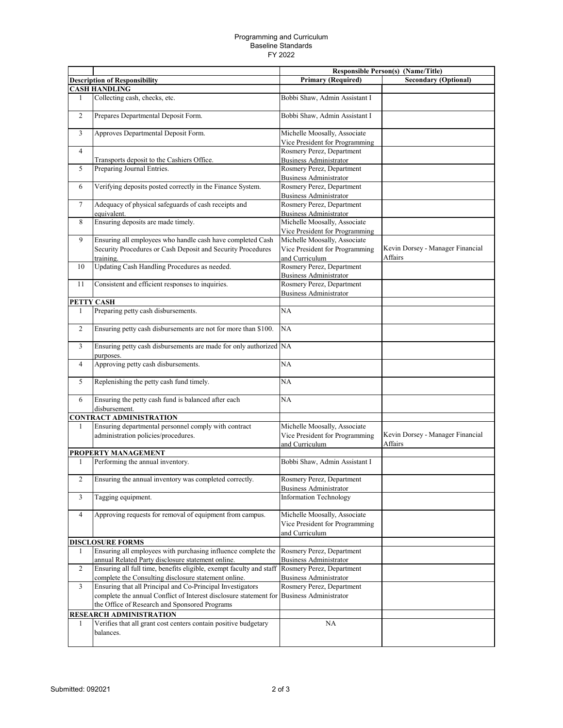## Programming and Curriculum Baseline Standards FY 2022

|                |                                                                                          |                                                                                  | <b>Responsible Person(s) (Name/Title)</b>   |
|----------------|------------------------------------------------------------------------------------------|----------------------------------------------------------------------------------|---------------------------------------------|
|                | <b>Description of Responsibility</b>                                                     | <b>Primary (Required)</b>                                                        | <b>Secondary (Optional)</b>                 |
|                | <b>CASH HANDLING</b>                                                                     |                                                                                  |                                             |
| 1              | Collecting cash, checks, etc.                                                            | Bobbi Shaw, Admin Assistant I                                                    |                                             |
| $\overline{c}$ | Prepares Departmental Deposit Form.                                                      | Bobbi Shaw, Admin Assistant I                                                    |                                             |
| 3              | Approves Departmental Deposit Form.                                                      | Michelle Moosally, Associate<br>Vice President for Programming                   |                                             |
| $\overline{4}$ |                                                                                          | Rosmery Perez, Department                                                        |                                             |
|                | Transports deposit to the Cashiers Office.                                               | <b>Business Administrator</b>                                                    |                                             |
| 5              | Preparing Journal Entries.                                                               | Rosmery Perez, Department                                                        |                                             |
|                |                                                                                          | <b>Business Administrator</b>                                                    |                                             |
| 6              | Verifying deposits posted correctly in the Finance System.                               | Rosmery Perez, Department                                                        |                                             |
|                |                                                                                          | <b>Business Administrator</b>                                                    |                                             |
| $\overline{7}$ | Adequacy of physical safeguards of cash receipts and                                     | Rosmery Perez, Department                                                        |                                             |
|                | equivalent.                                                                              | <b>Business Administrator</b>                                                    |                                             |
| 8              | Ensuring deposits are made timely.                                                       | Michelle Moosally, Associate                                                     |                                             |
|                |                                                                                          | Vice President for Programming                                                   |                                             |
| 9              | Ensuring all employees who handle cash have completed Cash                               | Michelle Moosally, Associate                                                     |                                             |
|                | Security Procedures or Cash Deposit and Security Procedures                              | Vice President for Programming                                                   | Kevin Dorsey - Manager Financial            |
|                | training.                                                                                | and Curriculum                                                                   | Affairs                                     |
| 10             | Updating Cash Handling Procedures as needed.                                             | Rosmery Perez, Department                                                        |                                             |
|                |                                                                                          | <b>Business Administrator</b>                                                    |                                             |
| 11             | Consistent and efficient responses to inquiries.                                         | Rosmery Perez, Department                                                        |                                             |
|                |                                                                                          | <b>Business Administrator</b>                                                    |                                             |
|                | PETTY CASH<br>Preparing petty cash disbursements.                                        | <b>NA</b>                                                                        |                                             |
| 1              |                                                                                          |                                                                                  |                                             |
| $\overline{c}$ | Ensuring petty cash disbursements are not for more than \$100.                           | <b>NA</b>                                                                        |                                             |
| 3              | Ensuring petty cash disbursements are made for only authorized NA<br>purposes.           |                                                                                  |                                             |
| $\overline{4}$ | Approving petty cash disbursements.                                                      | NA                                                                               |                                             |
| 5              | Replenishing the petty cash fund timely.                                                 | NA                                                                               |                                             |
| 6              | Ensuring the petty cash fund is balanced after each<br>disbursement.                     | NA                                                                               |                                             |
|                | <b>CONTRACT ADMINISTRATION</b>                                                           |                                                                                  |                                             |
| 1              | Ensuring departmental personnel comply with contract                                     | Michelle Moosally, Associate                                                     |                                             |
|                | administration policies/procedures.                                                      | Vice President for Programming<br>and Curriculum                                 | Kevin Dorsey - Manager Financial<br>Affairs |
|                | PROPERTY MANAGEMENT                                                                      |                                                                                  |                                             |
| 1              | Performing the annual inventory.                                                         | Bobbi Shaw, Admin Assistant I                                                    |                                             |
| $\overline{2}$ | Ensuring the annual inventory was completed correctly.                                   | Rosmery Perez, Department<br>Business Administrator                              |                                             |
| 3              | Tagging equipment.                                                                       | Information Technology                                                           |                                             |
| $\overline{4}$ | Approving requests for removal of equipment from campus.                                 | Michelle Moosally, Associate<br>Vice President for Programming<br>and Curriculum |                                             |
|                | <b>DISCLOSURE FORMS</b>                                                                  |                                                                                  |                                             |
| 1              | Ensuring all employees with purchasing influence complete the                            | Rosmery Perez, Department                                                        |                                             |
|                | annual Related Party disclosure statement online.                                        | <b>Business Administrator</b>                                                    |                                             |
| 2              | Ensuring all full time, benefits eligible, exempt faculty and staff                      | Rosmery Perez, Department                                                        |                                             |
|                | complete the Consulting disclosure statement online.                                     | <b>Business Administrator</b>                                                    |                                             |
| 3              | Ensuring that all Principal and Co-Principal Investigators                               | Rosmery Perez, Department                                                        |                                             |
|                | complete the annual Conflict of Interest disclosure statement for Business Administrator |                                                                                  |                                             |
|                | the Office of Research and Sponsored Programs                                            |                                                                                  |                                             |
|                | RESEARCH ADMINISTRATION                                                                  |                                                                                  |                                             |
| 1              | Verifies that all grant cost centers contain positive budgetary<br>balances.             | NA                                                                               |                                             |